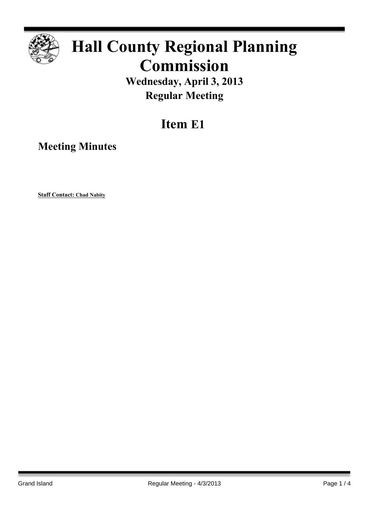

# **Hall County Regional Planning Commission**

**Wednesday, April 3, 2013 Regular Meeting**

## **Item E1**

**Meeting Minutes**

**Staff Contact: Chad Nabity**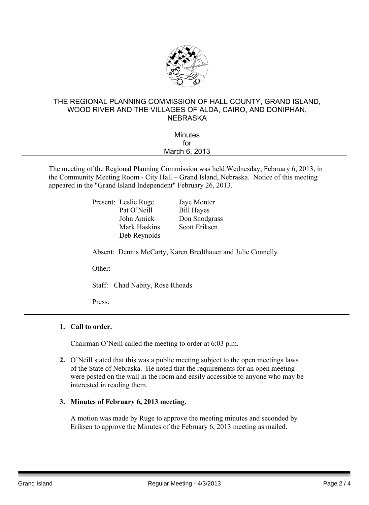

#### THE REGIONAL PLANNING COMMISSION OF HALL COUNTY, GRAND ISLAND, WOOD RIVER AND THE VILLAGES OF ALDA, CAIRO, AND DONIPHAN, **NEBRASKA**

| <b>Minutes</b> |  |
|----------------|--|
| for            |  |
| March 6, 2013  |  |
|                |  |

The meeting of the Regional Planning Commission was held Wednesday, February 6, 2013, in the Community Meeting Room - City Hall – Grand Island, Nebraska. Notice of this meeting appeared in the "Grand Island Independent" February 26, 2013.

> Present: Leslie Ruge Jaye Monter Pat O'Neill Bill Hayes Mark Haskins Scott Eriksen Deb Reynolds

John Amick Don Snodgrass

Absent: Dennis McCarty, Karen Bredthauer and Julie Connelly

Other:

Staff: Chad Nabity, Rose Rhoads

Press:

#### **1. Call to order.**

Chairman O'Neill called the meeting to order at 6:03 p.m.

**2.** O'Neill stated that this was a public meeting subject to the open meetings laws of the State of Nebraska. He noted that the requirements for an open meeting were posted on the wall in the room and easily accessible to anyone who may be interested in reading them.

#### **3. Minutes of February 6, 2013 meeting.**

A motion was made by Ruge to approve the meeting minutes and seconded by Eriksen to approve the Minutes of the February 6, 2013 meeting as mailed.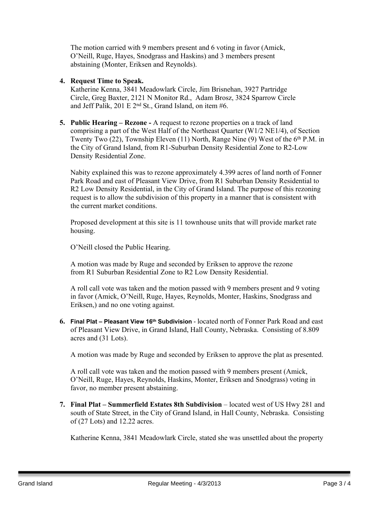The motion carried with 9 members present and 6 voting in favor (Amick, O'Neill, Ruge, Hayes, Snodgrass and Haskins) and 3 members present abstaining (Monter, Eriksen and Reynolds).

#### **4. Request Time to Speak.**

Katherine Kenna, 3841 Meadowlark Circle, Jim Brisnehan, 3927 Partridge Circle, Greg Baxter, 2121 N Monitor Rd., Adam Brosz, 3824 Sparrow Circle and Jeff Palik, 201 E  $2<sup>nd</sup>$  St., Grand Island, on item #6.

**5. Public Hearing – Rezone -** A request to rezone properties on a track of land comprising a part of the West Half of the Northeast Quarter (W1/2 NE1/4), of Section Twenty Two (22), Township Eleven (11) North, Range Nine (9) West of the 6<sup>th</sup> P.M. in the City of Grand Island, from R1-Suburban Density Residential Zone to R2-Low Density Residential Zone.

Nabity explained this was to rezone approximately 4.399 acres of land north of Fonner Park Road and east of Pleasant View Drive, from R1 Suburban Density Residential to R2 Low Density Residential, in the City of Grand Island. The purpose of this rezoning request is to allow the subdivision of this property in a manner that is consistent with the current market conditions.

Proposed development at this site is 11 townhouse units that will provide market rate housing.

O'Neill closed the Public Hearing.

A motion was made by Ruge and seconded by Eriksen to approve the rezone from R1 Suburban Residential Zone to R2 Low Density Residential.

A roll call vote was taken and the motion passed with 9 members present and 9 voting in favor (Amick, O'Neill, Ruge, Hayes, Reynolds, Monter, Haskins, Snodgrass and Eriksen,) and no one voting against.

**6. Final Plat – Pleasant View 16th Subdivision** - located north of Fonner Park Road and east of Pleasant View Drive, in Grand Island, Hall County, Nebraska. Consisting of 8.809 acres and (31 Lots).

A motion was made by Ruge and seconded by Eriksen to approve the plat as presented.

A roll call vote was taken and the motion passed with 9 members present (Amick, O'Neill, Ruge, Hayes, Reynolds, Haskins, Monter, Eriksen and Snodgrass) voting in favor, no member present abstaining.

**7. Final Plat – Summerfield Estates 8th Subdivision** – located west of US Hwy 281 and south of State Street, in the City of Grand Island, in Hall County, Nebraska. Consisting of (27 Lots) and 12.22 acres.

Katherine Kenna, 3841 Meadowlark Circle, stated she was unsettled about the property